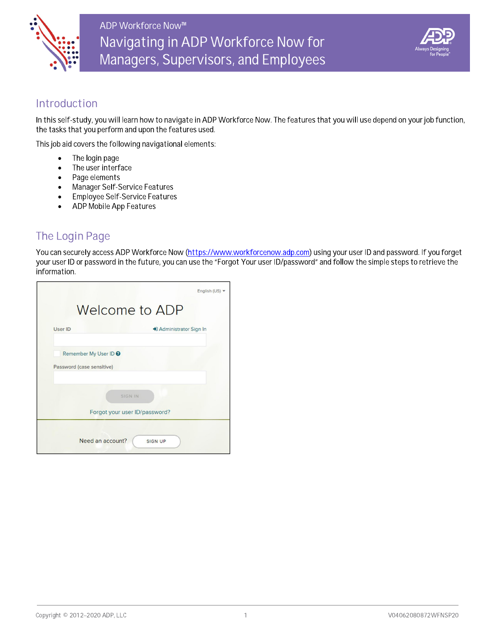



### Introduction

In this self-study, you will learn how to navigate in ADP Workforce Now. The features that you will use depend on your job function, the tasks that you perform and upon the features used.

This job aid covers the following navigational elements:

- The login page  $\bullet$
- The user interface  $\bullet$
- Page elements  $\bullet$
- **Manager Self-Service Features**  $\bullet$
- Employee Self-Service Features  $\bullet$
- ADP Mobile App Features

# The Login Page

You can securely access ADP Workforce Now (https://www.workforcenow.adp.com) using your user ID and password. If you forget your user ID or password in the future, you can use the "Forgot Your user ID/password" and follow the simple steps to retrieve the information.

|         |                                                               | English (US) - |
|---------|---------------------------------------------------------------|----------------|
|         | Welcome to ADP                                                |                |
| User ID | D Administrator Sign In                                       |                |
|         | Remember My User ID <sup>O</sup><br>Password (case sensitive) |                |
|         | SIGN IN<br>Forgot your user ID/password?                      |                |
|         | Need an account?<br><b>SIGN UP</b>                            |                |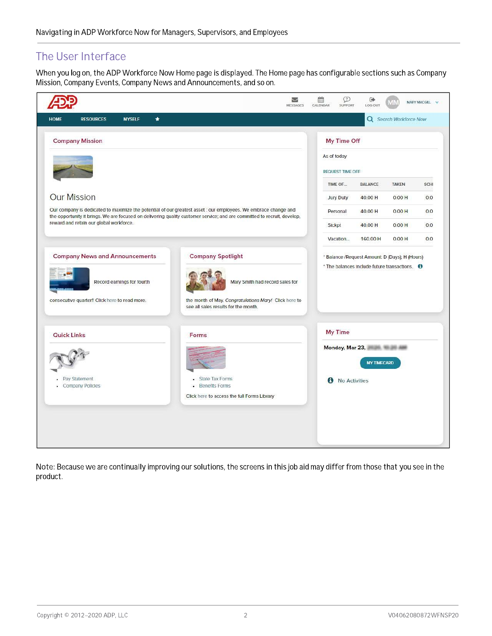### The User Interface

When you log on, the ADP Workforce Now Home page is displayed. The Home page has configurable sections such as Company Mission, Company Events, Company News and Announcements, and so on.



Note: Because we are continually improving our solutions, the screens in this job aid may differ from those that you see in the product.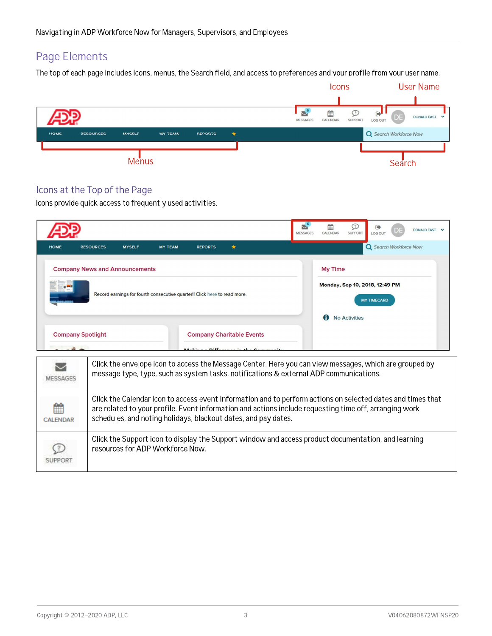## Page Elements

The top of each page includes icons, menus, the Search field, and access to preferences and your profile from your user name.

|                                                                    |                     | <b>Icons</b>                                                  |                                                       | <b>User Name</b>                          |
|--------------------------------------------------------------------|---------------------|---------------------------------------------------------------|-------------------------------------------------------|-------------------------------------------|
|                                                                    |                     |                                                               |                                                       |                                           |
|                                                                    |                     | $\mathbf{S}^{\mathsf{c}}$<br>雦<br>CALENDAR<br><b>MESSAGES</b> | $\leftrightarrow$<br><b>SUPPORT</b><br><b>LOG OUT</b> | DE)<br><b>DONALD EAST</b><br>$\checkmark$ |
| <b>HOME</b><br><b>RESOURCES</b><br><b>MYSELF</b><br><b>MY TEAM</b> | ۰<br><b>REPORTS</b> |                                                               |                                                       | Q Search Workforce Now                    |
|                                                                    |                     |                                                               |                                                       |                                           |
| <b>Menus</b>                                                       |                     |                                                               |                                                       | Search                                    |

### Icons at the Top of the Page

Icons provide quick access to frequently used activities.

|              |                                       |                                                                           |                |                |                                                                  | <b>MESSAGES</b> | 鯩<br>CALENDAR                                                 | ℒ<br>SUPPORT         | $\ddot{\phantom{1}}$<br><b>LOG OUT</b> | DE. | DONALD EAST V |  |
|--------------|---------------------------------------|---------------------------------------------------------------------------|----------------|----------------|------------------------------------------------------------------|-----------------|---------------------------------------------------------------|----------------------|----------------------------------------|-----|---------------|--|
| <b>HOME</b>  | <b>RESOURCES</b>                      | <b>MYSELF</b>                                                             | <b>MY TEAM</b> | <b>REPORTS</b> | 全                                                                |                 |                                                               |                      | Q Search Workforce Now                 |     |               |  |
| $\mathbf{r}$ | <b>Company News and Announcements</b> | Record earnings for fourth consecutive quarter!! Click here to read more. |                |                |                                                                  |                 | <b>My Time</b><br>Monday, Sep 10, 2018, 12:49 PM<br>$\bullet$ | <b>No Activities</b> | <b>MY TIMECARD</b>                     |     |               |  |
|              | <b>Company Spotlight</b>              |                                                                           |                |                | <b>Company Charitable Events</b><br>Maldone Millenonee in the C. |                 |                                                               |                      |                                        |     |               |  |

| MESSAGES             | Click the envelope icon to access the Message Center. Here you can view messages, which are grouped by<br>message type, type, such as system tasks, notifications & external ADP communications.                                                                                        |
|----------------------|-----------------------------------------------------------------------------------------------------------------------------------------------------------------------------------------------------------------------------------------------------------------------------------------|
| 雦<br><b>CALENDAR</b> | Click the Calendar icon to access event information and to perform actions on selected dates and times that<br>are related to your profile. Event information and actions include requesting time off, arranging work<br>schedules, and noting holidays, blackout dates, and pay dates. |
| ( ? )                | Click the Support icon to display the Support window and access product documentation, and learning<br>resources for ADP Workforce Now.                                                                                                                                                 |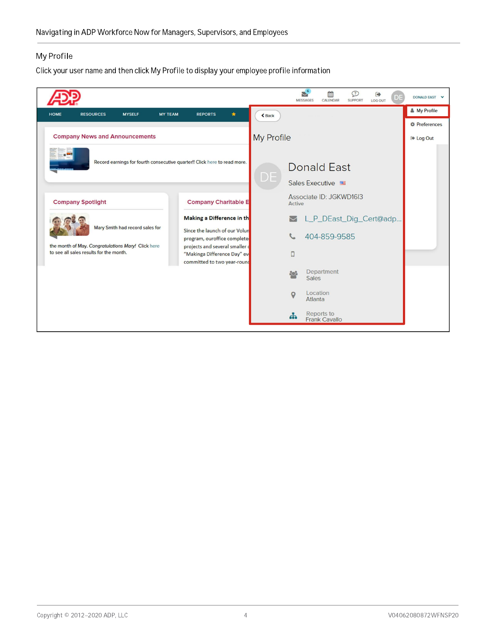### My Profile

Click your user name and then click My Profile to display your employee profile information

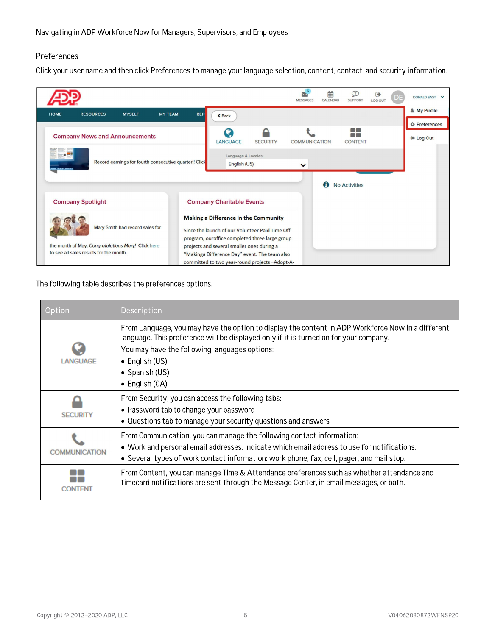#### Preferences

Click your user name and then click Preferences to manage your language selection, content, contact, and security information.

| <b>REP</b><br><b>HOME</b><br><b>RESOURCES</b><br><b>MYSELF</b><br><b>MY TEAM</b><br>$Back$<br><b>COLOR</b><br>◠<br><b>COLOR</b><br><b>Company News and Announcements</b><br><b>LANGUAGE</b><br>COMMUNICATION<br><b>CONTENT</b><br><b>SECURITY</b><br>Language & Locales:<br>Record earnings for fourth consecutive quarter!! Click                                                  |                      |
|-------------------------------------------------------------------------------------------------------------------------------------------------------------------------------------------------------------------------------------------------------------------------------------------------------------------------------------------------------------------------------------|----------------------|
|                                                                                                                                                                                                                                                                                                                                                                                     | & My Profile         |
|                                                                                                                                                                                                                                                                                                                                                                                     | <b>章 Preferences</b> |
|                                                                                                                                                                                                                                                                                                                                                                                     | Log Out              |
| English (US)<br>$\checkmark$<br>A<br><b>No Activities</b>                                                                                                                                                                                                                                                                                                                           |                      |
| <b>Company Spotlight</b><br><b>Company Charitable Events</b>                                                                                                                                                                                                                                                                                                                        |                      |
| <b>Making a Difference in the Community</b><br>Mary Smith had record sales for<br>Since the launch of our Volunteer Paid Time Off<br>program, ouroffice completed three large group<br>the month of May. Congratulations Mary! Click here<br>projects and several smaller ones during a<br>to see all sales results for the month.<br>"Makinga Difference Day" event. The team also |                      |

The following table describes the preferences options.

| Option         | Description                                                                                                                                                                                                                                                                                                       |
|----------------|-------------------------------------------------------------------------------------------------------------------------------------------------------------------------------------------------------------------------------------------------------------------------------------------------------------------|
| <b>ANGUAGE</b> | From Language, you may have the option to display the content in ADP Workforce Now in a different<br>language. This preference will be displayed only if it is turned on for your company.<br>You may have the following languages options:<br>$\bullet$ English (US)<br>• Spanish (US)<br>$\bullet$ English (CA) |
| <b>SECURIT</b> | From Security, you can access the following tabs:<br>• Password tab to change your password<br>• Questions tab to manage your security questions and answers                                                                                                                                                      |
| COMMUNICATION  | From Communication, you can manage the following contact information:<br>. Work and personal email addresses. Indicate which email address to use for notifications.<br>• Several types of work contact information: work phone, fax, cell, pager, and mail stop.                                                 |
|                | From Content, you can manage Time & Attendance preferences such as whether attendance and<br>timecard notifications are sent through the Message Center, in email messages, or both.                                                                                                                              |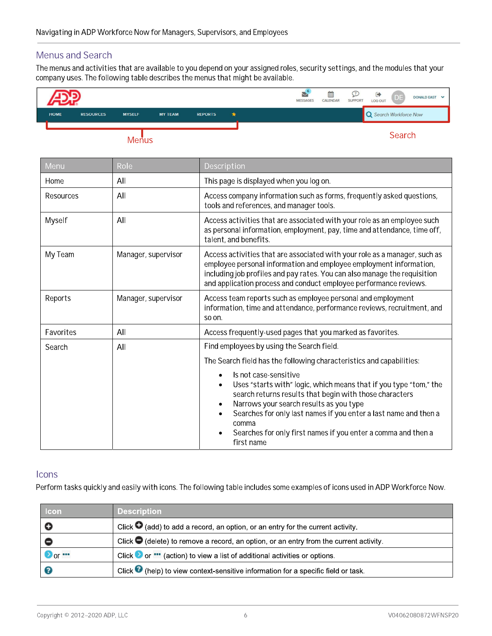### Menus and Search

The menus and activities that are available to you depend on your assigned roles, security settings, and the modules that your company uses. The following table describes the menus that might be available.  $\;$ 

|             |                  |               |                |                | $\tilde{\phantom{a}}$<br><b>MESSAGES</b> | Ë<br>CALENDAR | <b>SUPPORT</b> | Θ<br>LOG OUT                  | ・レヒ    | DONALD EAST V |  |
|-------------|------------------|---------------|----------------|----------------|------------------------------------------|---------------|----------------|-------------------------------|--------|---------------|--|
| <b>HOME</b> | <b>RESOURCES</b> | <b>MYSELF</b> | <b>MY TEAM</b> | <b>REPORTS</b> |                                          |               |                | <b>Q</b> Search Workforce Now |        |               |  |
|             |                  |               |                |                |                                          |               |                |                               | $\sim$ |               |  |

Menus **Manus** Search

| Menu      | Role                | Description                                                                                                                                                                                                                                                                                                                                                  |  |
|-----------|---------------------|--------------------------------------------------------------------------------------------------------------------------------------------------------------------------------------------------------------------------------------------------------------------------------------------------------------------------------------------------------------|--|
| Home      | All                 | This page is displayed when you log on.                                                                                                                                                                                                                                                                                                                      |  |
| Resources | All                 | Access company information such as forms, frequently asked questions,<br>tools and references, and manager tools.                                                                                                                                                                                                                                            |  |
| Myself    | All                 | Access activities that are associated with your role as an employee such<br>as personal information, employment, pay, time and attendance, time off,<br>talent, and benefits.                                                                                                                                                                                |  |
| My Team   | Manager, supervisor | Access activities that are associated with your role as a manager, such as<br>employee personal information and employee employment information,<br>including job profiles and pay rates. You can also manage the requisition<br>and application process and conduct employee performance reviews.                                                           |  |
| Reports   | Manager, supervisor | Access team reports such as employee personal and employment<br>information, time and attendance, performance reviews, recruitment, and<br>so on.                                                                                                                                                                                                            |  |
| Favorites | All                 | Access frequently-used pages that you marked as favorites.                                                                                                                                                                                                                                                                                                   |  |
| Search    | All                 | Find employees by using the Search field.                                                                                                                                                                                                                                                                                                                    |  |
|           |                     | The Search field has the following characteristics and capabilities:                                                                                                                                                                                                                                                                                         |  |
|           |                     | Is not case-sensitive<br>Uses "starts with" logic, which means that if you type "tom," the<br>search returns results that begin with those characters<br>Narrows your search results as you type<br>Searches for only last names if you enter a last name and then a<br>comma<br>Searches for only first names if you enter a comma and then a<br>first name |  |

### **Icons**

Perform tasks quickly and easily with icons. The following table includes some examples of icons used in ADP Workforce Now.

| Icon                                                                 | <b>Description</b> |                                                                                                  |                     |  |  |  |
|----------------------------------------------------------------------|--------------------|--------------------------------------------------------------------------------------------------|---------------------|--|--|--|
| o                                                                    |                    | Click $\bullet$ (add) to add a record, an option, or an entry for the current activity.          |                     |  |  |  |
|                                                                      |                    | Click $\bigcirc$ (delete) to remove a record, an option, or an entry from the current activity.  |                     |  |  |  |
| $\bullet$ or $\bullet$                                               |                    | Click $\bullet$ or $\bullet\bullet$ (action) to view a list of additional activities or options. |                     |  |  |  |
|                                                                      |                    | Click $\bullet$ (help) to view context-sensitive information for a specific field or task.       |                     |  |  |  |
|                                                                      |                    |                                                                                                  |                     |  |  |  |
|                                                                      |                    |                                                                                                  |                     |  |  |  |
|                                                                      |                    |                                                                                                  |                     |  |  |  |
| $\text{Copyright} \otimes 2012\text{--}2020 \text{ ADP}, \text{LLC}$ |                    | 6                                                                                                | V04062080872WFNSP20 |  |  |  |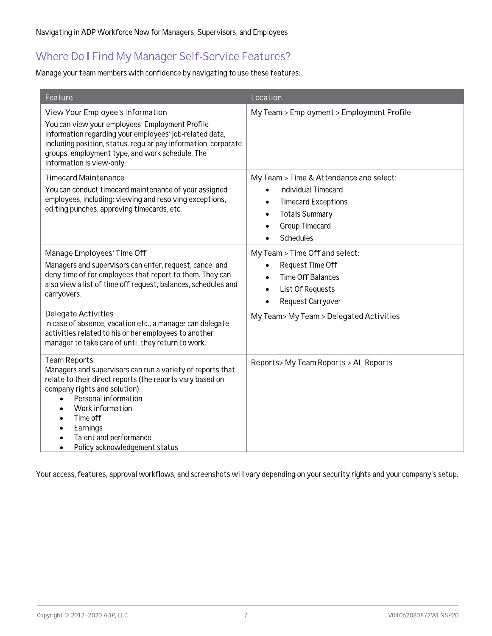## Where Do I Find My Manager Self-Service Features?

Manage your team members with confidence by navigating to use these features:

| Feature                                                                                                                                                                                                                                                                                                        | Location                                                                                                                                                  |
|----------------------------------------------------------------------------------------------------------------------------------------------------------------------------------------------------------------------------------------------------------------------------------------------------------------|-----------------------------------------------------------------------------------------------------------------------------------------------------------|
| View Your Employee's Information<br>You can view your employees' Employment Profile<br>information regarding your employees' job-related data,<br>including position, status, regular pay information, corporate<br>groups, employment type, and work schedule. The<br>information is view-only.               | My Team > Employment > Employment Profile                                                                                                                 |
| <b>Timecard Maintenance</b><br>You can conduct timecard maintenance of your assigned<br>employees, including: viewing and resolving exceptions,<br>editing punches, approving timecards, etc.                                                                                                                  | My Team > Time & Attendance and select:<br>Individual Timecard<br><b>Timecard Exceptions</b><br><b>Totals Summary</b><br>٠<br>Group Timecard<br>Schedules |
| Manage Employees' Time Off<br>Managers and supervisors can enter, request, cancel and<br>deny time of for employees that report to them. They can<br>also view a list of time off request, balances, schedules and<br>carryovers.                                                                              | My Team > Time Off and select:<br>Request Time Off<br><b>Time Off Balances</b><br>List Of Requests<br>$\bullet$<br>Request Carryover                      |
| Delegate Activities<br>In case of absence, vacation etc., a manager can delegate<br>activities related to his or her employees to another<br>manager to take care of until they return to work.                                                                                                                | My Team> My Team > Delegated Activities                                                                                                                   |
| <b>Team Reports</b><br>Managers and supervisors can run a variety of reports that<br>relate to their direct reports (the reports vary based on<br>company rights and solution):<br>Personal information<br>Work information<br>Time off<br>Earnings<br>Talent and performance<br>Policy acknowledgement status | Reports> My Team Reports > All Reports                                                                                                                    |

Your access, features, approval workflows, and screenshots will vary depending on your security rights and your company's setup.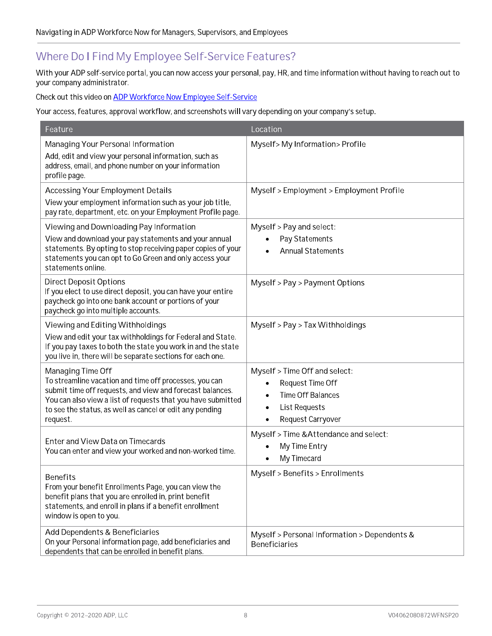# Where Do I Find My Employee Self-Service Features?

vvith your ADP seif-service portal, you can now access your personal, pay, HR, and time information without having to reach out to your company administrator.

Check out this video on <u>ADP workforce Now Employee Self-Service</u>

Your access, reatures, approval workflow, and screenshots will vary depending on your company's setup.

|                                                                                                                                                                                                                       | Location                                                             |
|-----------------------------------------------------------------------------------------------------------------------------------------------------------------------------------------------------------------------|----------------------------------------------------------------------|
| Managing Your Personal Information                                                                                                                                                                                    | Myself>My Information>Profile                                        |
| Add, edit and view your personal information, such as<br>address, email, and phone number on your information<br>profile page.                                                                                        |                                                                      |
| <b>Accessing Your Employment Details</b>                                                                                                                                                                              | Myself > Employment > Employment Profile                             |
| View your employment information such as your job title,<br>pay rate, department, etc. on your Employment Profile page.                                                                                               |                                                                      |
| Viewing and Downloading Pay Information                                                                                                                                                                               | Myself > Pay and select:                                             |
| View and download your pay statements and your annual<br>statements. By opting to stop receiving paper copies of your<br>statements you can opt to Go Green and only access your<br>statements online.                | Pay Statements<br><b>Annual Statements</b>                           |
| <b>Direct Deposit Options</b><br>If you elect to use direct deposit, you can have your entire<br>paycheck go into one bank account or portions of your<br>paycheck go into multiple accounts.                         | Myself > Pay > Payment Options                                       |
| Viewing and Editing Withholdings                                                                                                                                                                                      | Myself > Pay > Tax Withholdings                                      |
| View and edit your tax withholdings for Federal and State.<br>If you pay taxes to both the state you work in and the state<br>you live in, there will be separate sections for each one.                              |                                                                      |
| Managing Time Off                                                                                                                                                                                                     | Myself > Time Off and select:                                        |
| To streamline vacation and time off processes, you can<br>submit time off requests, and view and forecast balances.                                                                                                   | Request Time Off                                                     |
| You can also view a list of requests that you have submitted                                                                                                                                                          | <b>Time Off Balances</b>                                             |
| to see the status, as well as cancel or edit any pending<br>request.                                                                                                                                                  | <b>List Requests</b><br>Request Carryover                            |
|                                                                                                                                                                                                                       | Myself > Time & Attendance and select:                               |
| Enter and View Data on Timecards                                                                                                                                                                                      | My Time Entry                                                        |
| You can enter and view your worked and non-worked time.                                                                                                                                                               | My Timecard                                                          |
| <b>Benefits</b><br>From your benefit Enrollments Page, you can view the<br>benefit plans that you are enrolled in, print benefit<br>statements, and enroll in plans if a benefit enrollment<br>window is open to you. | Myself > Benefits > Enrollments                                      |
| Add Dependents & Beneficiaries<br>On your Personal information page, add beneficiaries and<br>dependents that can be enrolled in benefit plans.                                                                       | Myself > Personal Information > Dependents &<br><b>Beneficiaries</b> |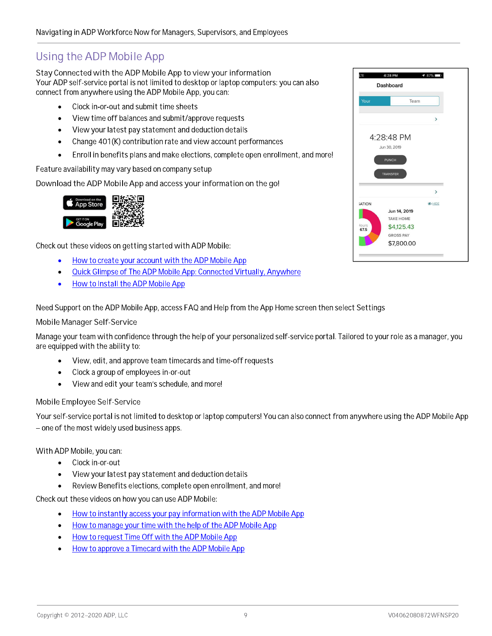# Using the ADP Mobile App

Stay Connected with the ADP Mobile App to view your information Your ADP seit-service portal is not limited to desktop or laptop computers: you can also connect from anywnere using the ADP Mobile App, you can:  $\overline{\phantom{a}}$ 

- $\bullet$  Clock in-or-out and submit time sheets
- $\bullet$  . The vitime of Fibalances and submit/approve requests .
- $\bullet$  . The view your latest pay statement and deduction details  $\hspace{0.1cm}$
- $\bullet$  Change 40 F(K) contribution rate and view account performances
- $\bullet$   $\quad$  Enroll in beheft ts plans and make elections, complete open enrollment, and more!

Feature availability may vary based on company setup

Download the ADP Mobile App and access your information on the go!



Check out these videos on getting started with ADP Mobile:  $\overline{\phantom{a}}$ 

- How to create your account with the ADP Mobile App
- <u>Quick Gilmpse of The ADP Mobile App: Connected Virtually, Anywhere</u>
- How to install the ADP Mobile App

 $\alpha$  Need Support on the ADP Mobile App, access FAQ and Help from the App Home screen then select Settings

#### Mobile Manager Self-Service

--- 

-\K
-]Y---- are equipped with the ability to:  $\overline{\phantom{a}}$ 

- $\bullet$  . Thew, edit, and approve team timecards and time-off requests  $\bullet$
- $\bullet$  Clock a group of employees in-or-out
- $\bullet$  view and edit your team's schedule, and more!

### Mobile Employee Self-Service

Your seit-service portal is not limited to desktop or laptop computers! You can also connect from anywhere using the ADP Mobile App – one of the most widely used business apps.  $\overline{\phantom{a}}$ 

### vvith ADP Mobile, you can:

- Clock in-or-out
- $\bullet$  . The wigger ratest pay statement and deduction details  $\hspace{0.1cm}$
- $\bullet$  Review Benefits elections, complete open enrollment, and more!

Check out these videos on now you can use ADP Mobile:  $\overline{\phantom{a}}$ 

- $\bullet$  . How to instantly access your pay information with the ADP Mobile App .
- $\bullet$  . How to manage your time with the help of the ADP Mobile App  $\hspace{0.1cm}$
- How to request Time Off with the ADP Mobile App
- How to approve a Timecard with the ADP Mobile App